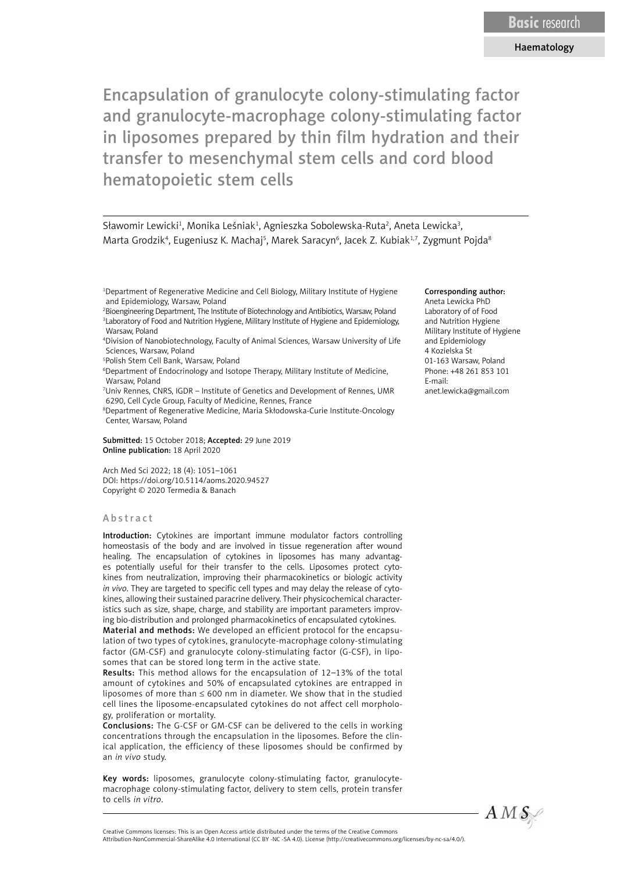Sławomir Lewicki<sup>1</sup>, Monika Leśniak<sup>1</sup>, Agnieszka Sobolewska-Ruta<sup>2</sup>, Aneta Lewicka<sup>3</sup>, Marta Grodzik<sup>4</sup>, Eugeniusz K. Machaj<sup>s</sup>, Marek Saracyn<sup>6</sup>, Jacek Z. Kubiak<sup>1,7</sup>, Zygmunt Pojda<sup>s</sup>

1 Department of Regenerative Medicine and Cell Biology, Military Institute of Hygiene and Epidemiology, Warsaw, Poland

- 2 Bioengineering Department, The Institute of Biotechnology and Antibiotics, Warsaw, Poland <sup>3</sup> Laboratory of Food and Nutrition Hygiene, Military Institute of Hygiene and Epidemiology, Warsaw, Poland
- 4 Division of Nanobiotechnology, Faculty of Animal Sciences, Warsaw University of Life Sciences, Warsaw, Poland
- 5 Polish Stem Cell Bank, Warsaw, Poland
- 6 Department of Endocrinology and Isotope Therapy, Military Institute of Medicine, Warsaw, Poland

7 Univ Rennes, CNRS, IGDR – Institute of Genetics and Development of Rennes, UMR 6290, Cell Cycle Group, Faculty of Medicine, Rennes, France

8 Department of Regenerative Medicine, Maria Skłodowska-Curie Institute-Oncology Center, Warsaw, Poland

Submitted: 15 October 2018; Accepted: 29 June 2019 Online publication: 18 April 2020

Arch Med Sci 2022; 18 (4): 1051–1061 DOI: https://doi.org/10.5114/aoms.2020.94527 Copyright © 2020 Termedia & Banach

#### Abstract

Introduction: Cytokines are important immune modulator factors controlling homeostasis of the body and are involved in tissue regeneration after wound healing. The encapsulation of cytokines in liposomes has many advantages potentially useful for their transfer to the cells. Liposomes protect cytokines from neutralization, improving their pharmacokinetics or biologic activity *in vivo*. They are targeted to specific cell types and may delay the release of cytokines, allowing their sustained paracrine delivery. Their physicochemical characteristics such as size, shape, charge, and stability are important parameters improving bio-distribution and prolonged pharmacokinetics of encapsulated cytokines.

Material and methods: We developed an efficient protocol for the encapsulation of two types of cytokines, granulocyte-macrophage colony-stimulating factor (GM-CSF) and granulocyte colony-stimulating factor (G-CSF), in liposomes that can be stored long term in the active state.

Results: This method allows for the encapsulation of 12–13% of the total amount of cytokines and 50% of encapsulated cytokines are entrapped in liposomes of more than  $\leq 600$  nm in diameter. We show that in the studied cell lines the liposome-encapsulated cytokines do not affect cell morphology, proliferation or mortality.

Conclusions: The G-CSF or GM-CSF can be delivered to the cells in working concentrations through the encapsulation in the liposomes. Before the clinical application, the efficiency of these liposomes should be confirmed by an *in vivo* study.

Key words: liposomes, granulocyte colony-stimulating factor, granulocytemacrophage colony-stimulating factor, delivery to stem cells, protein transfer to cells *in vitro*.

#### Corresponding author: Aneta Lewicka PhD Laboratory of of Food

and Nutrition Hygiene Military Institute of Hygiene and Epidemiology 4 Kozielska St 01-163 Warsaw, Poland Phone: +48 261 853 101 E-mail: anet.lewicka@gmail.com



Creative Commons licenses: This is an Open Access article distributed under the terms of the Creative Commons Attribution-NonCommercial-ShareAlike 4.0 International (CC BY -NC -SA 4.0). License (http://creativecommons.org/licenses/by-nc-sa/4.0/).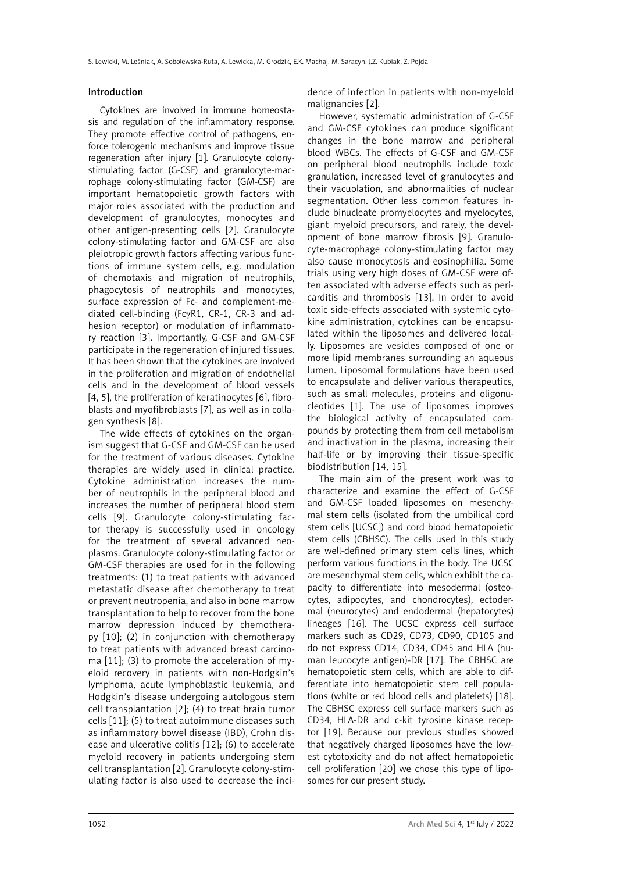#### Introduction

Cytokines are involved in immune homeostasis and regulation of the inflammatory response. They promote effective control of pathogens, enforce tolerogenic mechanisms and improve tissue regeneration after injury [1]. Granulocyte colonystimulating factor (G-CSF) and granulocyte-macrophage colony-stimulating factor (GM-CSF) are important hematopoietic growth factors with major roles associated with the production and development of granulocytes, monocytes and other antigen-presenting cells [2]. Granulocyte colony-stimulating factor and GM-CSF are also pleiotropic growth factors affecting various functions of immune system cells, e.g. modulation of chemotaxis and migration of neutrophils, phagocytosis of neutrophils and monocytes, surface expression of Fc- and complement-mediated cell-binding (FcγR1, CR-1, CR-3 and adhesion receptor) or modulation of inflammatory reaction [3]. Importantly, G-CSF and GM-CSF participate in the regeneration of injured tissues. It has been shown that the cytokines are involved in the proliferation and migration of endothelial cells and in the development of blood vessels [4, 5], the proliferation of keratinocytes [6], fibroblasts and myofibroblasts [7], as well as in collagen synthesis [8].

The wide effects of cytokines on the organism suggest that G-CSF and GM-CSF can be used for the treatment of various diseases. Cytokine therapies are widely used in clinical practice. Cytokine administration increases the number of neutrophils in the peripheral blood and increases the number of peripheral blood stem cells [9]. Granulocyte colony-stimulating factor therapy is successfully used in oncology for the treatment of several advanced neoplasms. Granulocyte colony-stimulating factor or GM-CSF therapies are used for in the following treatments: (1) to treat patients with advanced metastatic disease after chemotherapy to treat or prevent neutropenia, and also in bone marrow transplantation to help to recover from the bone marrow depression induced by chemotherapy [10]; (2) in conjunction with chemotherapy to treat patients with advanced breast carcinoma [11]; (3) to promote the acceleration of myeloid recovery in patients with non-Hodgkin's lymphoma, acute lymphoblastic leukemia, and Hodgkin's disease undergoing autologous stem cell transplantation [2]; (4) to treat brain tumor cells [11]; (5) to treat autoimmune diseases such as inflammatory bowel disease (IBD), Crohn disease and ulcerative colitis [12]; (6) to accelerate myeloid recovery in patients undergoing stem cell transplantation [2]. Granulocyte colony-stimulating factor is also used to decrease the incidence of infection in patients with non-myeloid malignancies [2].

However, systematic administration of G-CSF and GM-CSF cytokines can produce significant changes in the bone marrow and peripheral blood WBCs. The effects of G-CSF and GM-CSF on peripheral blood neutrophils include toxic granulation, increased level of granulocytes and their vacuolation, and abnormalities of nuclear segmentation. Other less common features include binucleate promyelocytes and myelocytes, giant myeloid precursors, and rarely, the development of bone marrow fibrosis [9]. Granulocyte-macrophage colony-stimulating factor may also cause monocytosis and eosinophilia. Some trials using very high doses of GM-CSF were often associated with adverse effects such as pericarditis and thrombosis [13]. In order to avoid toxic side-effects associated with systemic cytokine administration, cytokines can be encapsulated within the liposomes and delivered locally. Liposomes are vesicles composed of one or more lipid membranes surrounding an aqueous lumen. Liposomal formulations have been used to encapsulate and deliver various therapeutics, such as small molecules, proteins and oligonucleotides [1]. The use of liposomes improves the biological activity of encapsulated compounds by protecting them from cell metabolism and inactivation in the plasma, increasing their half-life or by improving their tissue-specific biodistribution [14, 15].

The main aim of the present work was to characterize and examine the effect of G-CSF and GM-CSF loaded liposomes on mesenchymal stem cells (isolated from the umbilical cord stem cells [UCSC]) and cord blood hematopoietic stem cells (CBHSC). The cells used in this study are well-defined primary stem cells lines, which perform various functions in the body. The UCSC are mesenchymal stem cells, which exhibit the capacity to differentiate into mesodermal (osteocytes, adipocytes, and chondrocytes), ectodermal (neurocytes) and endodermal (hepatocytes) lineages [16]. The UCSC express cell surface markers such as CD29, CD73, CD90, CD105 and do not express CD14, CD34, CD45 and HLA (human leucocyte antigen)-DR [17]. The CBHSC are hematopoietic stem cells, which are able to differentiate into hematopoietic stem cell populations (white or red blood cells and platelets) [18]. The CBHSC express cell surface markers such as CD34, HLA-DR and c-kit tyrosine kinase receptor [19]. Because our previous studies showed that negatively charged liposomes have the lowest cytotoxicity and do not affect hematopoietic cell proliferation [20] we chose this type of liposomes for our present study.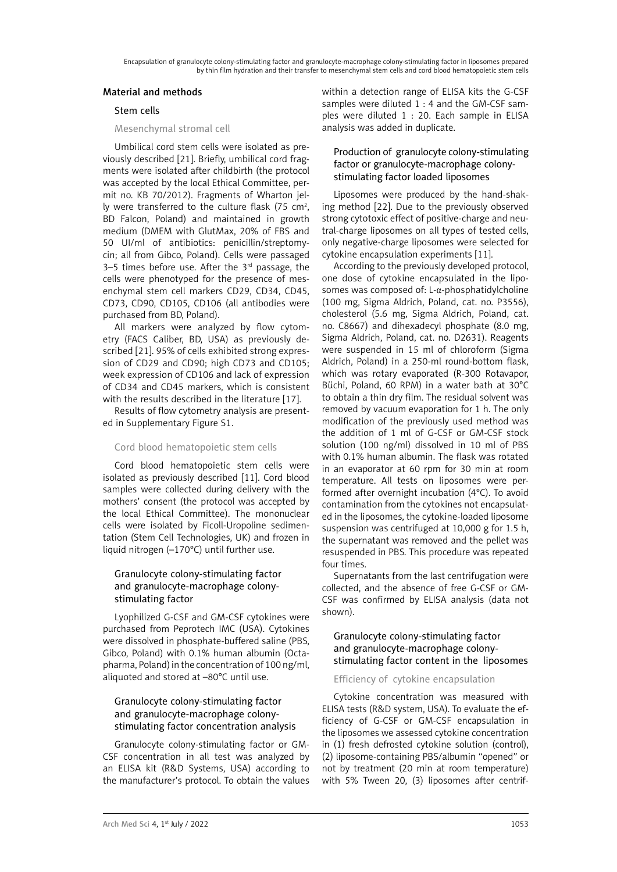## Material and methods

## Stem cells

## Mesenchymal stromal cell

Umbilical cord stem cells were isolated as previously described [21]. Briefly, umbilical cord fragments were isolated after childbirth (the protocol was accepted by the local Ethical Committee, permit no. KB 70/2012). Fragments of Wharton jelly were transferred to the culture flask ( $75 \text{ cm}^2$ , BD Falcon, Poland) and maintained in growth medium (DMEM with GlutMax, 20% of FBS and 50 UI/ml of antibiotics: penicillin/streptomycin; all from Gibco, Poland). Cells were passaged 3–5 times before use. After the  $3<sup>rd</sup>$  passage, the cells were phenotyped for the presence of mesenchymal stem cell markers CD29, CD34, CD45, CD73, CD90, CD105, CD106 (all antibodies were purchased from BD, Poland).

All markers were analyzed by flow cytometry (FACS Caliber, BD, USA) as previously described [21]. 95% of cells exhibited strong expression of CD29 and CD90; high CD73 and CD105; week expression of CD106 and lack of expression of CD34 and CD45 markers, which is consistent with the results described in the literature [17].

Results of flow cytometry analysis are presented in Supplementary Figure S1.

## Cord blood hematopoietic stem cells

Cord blood hematopoietic stem cells were isolated as previously described [11]. Cord blood samples were collected during delivery with the mothers' consent (the protocol was accepted by the local Ethical Committee). The mononuclear cells were isolated by Ficoll-Uropoline sedimentation (Stem Cell Technologies, UK) and frozen in liquid nitrogen (–170°C) until further use.

# Granulocyte colony-stimulating factor and granulocyte-macrophage colonystimulating factor

Lyophilized G-CSF and GM-CSF cytokines were purchased from Peprotech IMC (USA). Cytokines were dissolved in phosphate-buffered saline (PBS, Gibco, Poland) with 0.1% human albumin (Octapharma, Poland) in the concentration of 100 ng/ml, aliquoted and stored at –80°C until use.

# Granulocyte colony-stimulating factor and granulocyte-macrophage colonystimulating factor concentration analysis

Granulocyte colony-stimulating factor or GM-CSF concentration in all test was analyzed by an ELISA kit (R&D Systems, USA) according to the manufacturer's protocol. To obtain the values within a detection range of ELISA kits the G-CSF samples were diluted 1 : 4 and the GM-CSF samples were diluted 1 : 20. Each sample in ELISA analysis was added in duplicate.

## Production of granulocyte colony-stimulating factor or granulocyte-macrophage colonystimulating factor loaded liposomes

Liposomes were produced by the hand-shaking method [22]. Due to the previously observed strong cytotoxic effect of positive-charge and neutral-charge liposomes on all types of tested cells, only negative-charge liposomes were selected for cytokine encapsulation experiments [11].

According to the previously developed protocol, one dose of cytokine encapsulated in the liposomes was composed of: L-α-phosphatidylcholine (100 mg, Sigma Aldrich, Poland, cat. no. P3556), cholesterol (5.6 mg, Sigma Aldrich, Poland, cat. no. C8667) and dihexadecyl phosphate (8.0 mg, Sigma Aldrich, Poland, cat. no. D2631). Reagents were suspended in 15 ml of chloroform (Sigma Aldrich, Poland) in a 250-ml round-bottom flask, which was rotary evaporated (R-300 Rotavapor, Büchi, Poland, 60 RPM) in a water bath at 30°C to obtain a thin dry film. The residual solvent was removed by vacuum evaporation for 1 h. The only modification of the previously used method was the addition of 1 ml of G-CSF or GM-CSF stock solution (100 ng/ml) dissolved in 10 ml of PBS with 0.1% human albumin. The flask was rotated in an evaporator at 60 rpm for 30 min at room temperature. All tests on liposomes were performed after overnight incubation (4°C). To avoid contamination from the cytokines not encapsulated in the liposomes, the cytokine-loaded liposome suspension was centrifuged at 10,000 g for 1.5 h, the supernatant was removed and the pellet was resuspended in PBS. This procedure was repeated four times.

Supernatants from the last centrifugation were collected, and the absence of free G-CSF or GM-CSF was confirmed by ELISA analysis (data not shown).

## Granulocyte colony-stimulating factor and granulocyte-macrophage colonystimulating factor content in the liposomes

## Efficiency of cytokine encapsulation

Cytokine concentration was measured with ELISA tests (R&D system, USA). To evaluate the efficiency of G-CSF or GM-CSF encapsulation in the liposomes we assessed cytokine concentration in (1) fresh defrosted cytokine solution (control), (2) liposome-containing PBS/albumin "opened" or not by treatment (20 min at room temperature) with 5% Tween 20, (3) liposomes after centrif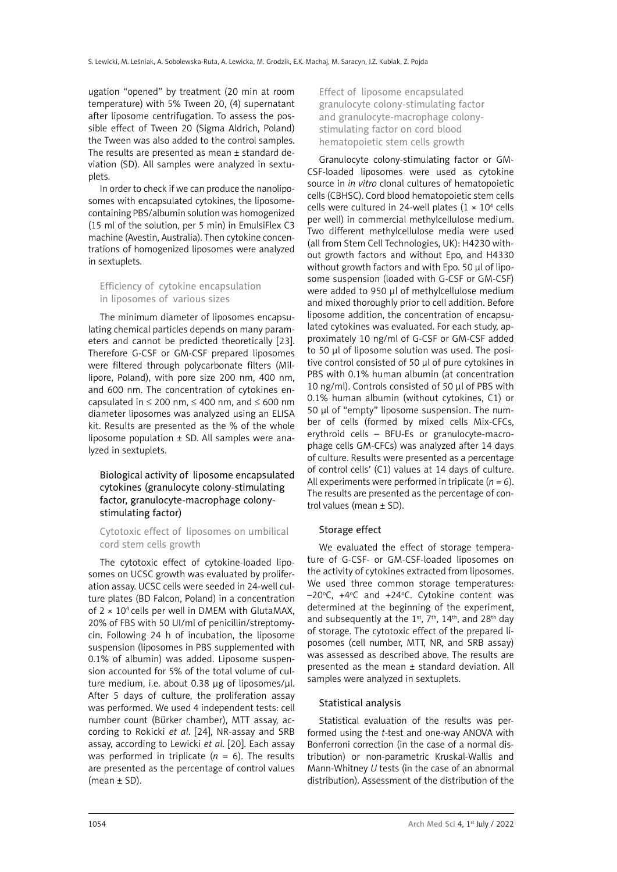ugation "opened" by treatment (20 min at room temperature) with 5% Tween 20, (4) supernatant after liposome centrifugation. To assess the possible effect of Tween 20 (Sigma Aldrich, Poland) the Tween was also added to the control samples. The results are presented as mean ± standard deviation (SD). All samples were analyzed in sextuplets.

In order to check if we can produce the nanoliposomes with encapsulated cytokines, the liposomecontaining PBS/albumin solution was homogenized (15 ml of the solution, per 5 min) in EmulsiFlex C3 machine (Avestin, Australia). Then cytokine concentrations of homogenized liposomes were analyzed in sextuplets.

Efficiency of cytokine encapsulation in liposomes of various sizes

The minimum diameter of liposomes encapsulating chemical particles depends on many parameters and cannot be predicted theoretically [23]. Therefore G-CSF or GM-CSF prepared liposomes were filtered through polycarbonate filters (Millipore, Poland), with pore size 200 nm, 400 nm, and 600 nm. The concentration of cytokines encapsulated in  $\leq$  200 nm,  $\leq$  400 nm, and  $\leq$  600 nm diameter liposomes was analyzed using an ELISA kit. Results are presented as the % of the whole liposome population  $\pm$  SD. All samples were analyzed in sextuplets.

# Biological activity of liposome encapsulated cytokines (granulocyte colony-stimulating factor, granulocyte-macrophage colonystimulating factor)

#### Cytotoxic effect of liposomes on umbilical cord stem cells growth

The cytotoxic effect of cytokine-loaded liposomes on UCSC growth was evaluated by proliferation assay. UCSC cells were seeded in 24-well culture plates (BD Falcon, Poland) in a concentration of  $2 \times 10^4$  cells per well in DMEM with GlutaMAX. 20% of FBS with 50 UI/ml of penicillin/streptomycin. Following 24 h of incubation, the liposome suspension (liposomes in PBS supplemented with 0.1% of albumin) was added. Liposome suspension accounted for 5% of the total volume of culture medium, i.e. about 0.38 μg of liposomes/μl. After 5 days of culture, the proliferation assay was performed. We used 4 independent tests: cell number count (Bürker chamber), MTT assay, according to Rokicki *et al.* [24], NR-assay and SRB assay, according to Lewicki *et al*. [20]. Each assay was performed in triplicate  $(n = 6)$ . The results are presented as the percentage of control values  $(mean \pm SD)$ .

Effect of liposome encapsulated granulocyte colony-stimulating factor and granulocyte-macrophage colonystimulating factor on cord blood hematopoietic stem cells growth

Granulocyte colony-stimulating factor or GM-CSF-loaded liposomes were used as cytokine source in *in vitro* clonal cultures of hematopoietic cells (CBHSC). Cord blood hematopoietic stem cells cells were cultured in 24-well plates  $(1 \times 10^4 \text{ cells})$ per well) in commercial methylcellulose medium. Two different methylcellulose media were used (all from Stem Cell Technologies, UK): H4230 without growth factors and without Epo, and H4330 without growth factors and with Epo. 50 μl of liposome suspension (loaded with G-CSF or GM-CSF) were added to 950 μl of methylcellulose medium and mixed thoroughly prior to cell addition. Before liposome addition, the concentration of encapsulated cytokines was evaluated. For each study, approximately 10 ng/ml of G-CSF or GM-CSF added to 50 µl of liposome solution was used. The positive control consisted of 50 µl of pure cytokines in PBS with 0.1% human albumin (at concentration 10 ng/ml). Controls consisted of 50 µl of PBS with 0.1% human albumin (without cytokines, C1) or 50 µl of "empty" liposome suspension. The number of cells (formed by mixed cells Mix-CFCs, erythroid cells – BFU-Es or granulocyte-macrophage cells GM-CFCs) was analyzed after 14 days of culture. Results were presented as a percentage of control cells' (C1) values at 14 days of culture. All experiments were performed in triplicate  $(n = 6)$ . The results are presented as the percentage of control values (mean ± SD).

## Storage effect

We evaluated the effect of storage temperature of G-CSF- or GM-CSF-loaded liposomes on the activity of cytokines extracted from liposomes. We used three common storage temperatures: -20°C, +4°C and +24°C. Cytokine content was determined at the beginning of the experiment, and subsequently at the 1st,  $7<sup>th</sup>$ ,  $14<sup>th</sup>$ , and  $28<sup>th</sup>$  day of storage. The cytotoxic effect of the prepared liposomes (cell number, MTT, NR, and SRB assay) was assessed as described above. The results are presented as the mean ± standard deviation. All samples were analyzed in sextuplets.

## Statistical analysis

Statistical evaluation of the results was performed using the *t*-test and one-way ANOVA with Bonferroni correction (in the case of a normal distribution) or non-parametric Kruskal-Wallis and Mann-Whitney *U* tests (in the case of an abnormal distribution). Assessment of the distribution of the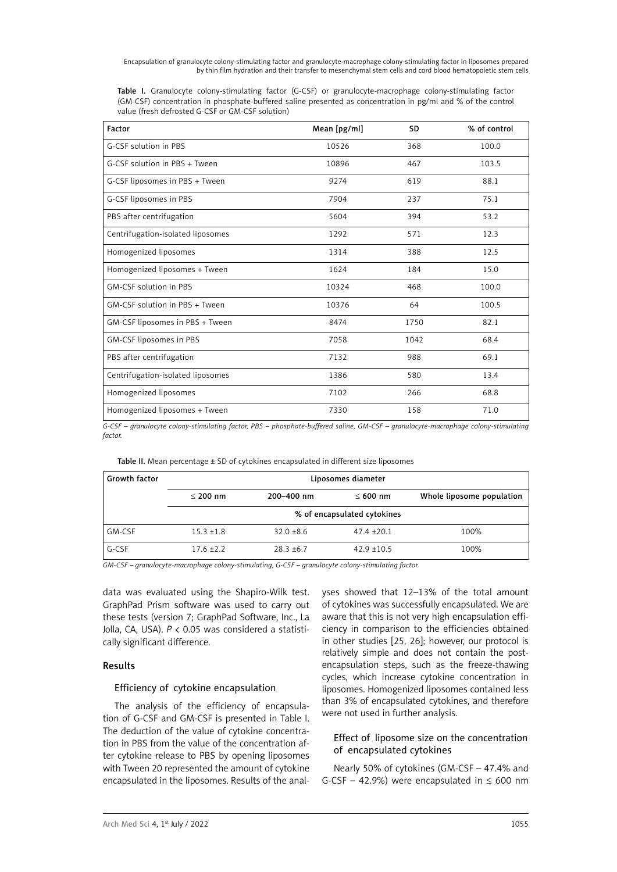Table I. Granulocyte colony-stimulating factor (G-CSF) or granulocyte-macrophage colony-stimulating factor (GM-CSF) concentration in phosphate-buffered saline presented as concentration in pg/ml and % of the control value (fresh defrosted G-CSF or GM-CSF solution)

| Factor                            | Mean [pg/ml] | <b>SD</b> | % of control |
|-----------------------------------|--------------|-----------|--------------|
| G-CSF solution in PBS             | 10526        | 368       | 100.0        |
| G-CSF solution in PBS + Tween     | 10896        | 467       | 103.5        |
| G-CSF liposomes in PBS + Tween    | 9274         | 619       | 88.1         |
| G-CSF liposomes in PBS            | 7904<br>237  |           | 75.1         |
| PBS after centrifugation          | 5604         | 394       | 53.2         |
| Centrifugation-isolated liposomes | 1292         | 571       | 12.3         |
| Homogenized liposomes             | 1314         | 388       | 12.5         |
| Homogenized liposomes + Tween     | 1624         | 184       | 15.0         |
| GM-CSF solution in PBS            | 10324        | 468       | 100.0        |
| GM-CSF solution in PBS + Tween    | 10376        | 64        |              |
| GM-CSF liposomes in PBS + Tween   | 8474         | 1750      | 82.1         |
| GM-CSF liposomes in PBS           | 7058         | 1042      | 68.4         |
| PBS after centrifugation          | 7132         | 988       | 69.1         |
| Centrifugation-isolated liposomes | 1386         | 580       | 13.4         |
| Homogenized liposomes             | 7102         | 266       | 68.8         |
| Homogenized liposomes + Tween     | 7330         | 158       | 71.0         |

*G-CSF – granulocyte colony-stimulating factor, PBS – phosphate-buffered saline, GM-CSF – granulocyte-macrophage colony-stimulating factor.*

| Table II. Mean percentage ± SD of cytokines encapsulated in different size liposomes |
|--------------------------------------------------------------------------------------|
|--------------------------------------------------------------------------------------|

| <b>Growth factor</b> | Liposomes diameter          |              |               |                           |  |  |
|----------------------|-----------------------------|--------------|---------------|---------------------------|--|--|
|                      | $<$ 200 nm                  | 200-400 nm   | $< 600$ nm    | Whole liposome population |  |  |
|                      | % of encapsulated cytokines |              |               |                           |  |  |
| GM-CSF               | $15.3 \pm 1.8$              | $32.0 + 8.6$ | $47.4 + 20.1$ | 100%                      |  |  |
| G-CSF                | $17.6 + 2.2$                | $28.3 + 6.7$ | $42.9 + 10.5$ | 100%                      |  |  |

*GM-CSF – granulocyte-macrophage colony-stimulating, G-CSF – granulocyte colony-stimulating factor.*

data was evaluated using the Shapiro-Wilk test. GraphPad Prism software was used to carry out these tests (version 7; GraphPad Software, Inc., La Jolla, CA, USA). *P* < 0.05 was considered a statistically significant difference.

## Results

### Efficiency of cytokine encapsulation

The analysis of the efficiency of encapsulation of G-CSF and GM-CSF is presented in Table I. The deduction of the value of cytokine concentration in PBS from the value of the concentration after cytokine release to PBS by opening liposomes with Tween 20 represented the amount of cytokine encapsulated in the liposomes. Results of the analyses showed that 12–13% of the total amount of cytokines was successfully encapsulated. We are aware that this is not very high encapsulation efficiency in comparison to the efficiencies obtained in other studies [25, 26]; however, our protocol is relatively simple and does not contain the postencapsulation steps, such as the freeze-thawing cycles, which increase cytokine concentration in liposomes. Homogenized liposomes contained less than 3% of encapsulated cytokines, and therefore were not used in further analysis.

## Effect of liposome size on the concentration of encapsulated cytokines

Nearly 50% of cytokines (GM-CSF – 47.4% and G-CSF – 42.9%) were encapsulated in  $\leq 600$  nm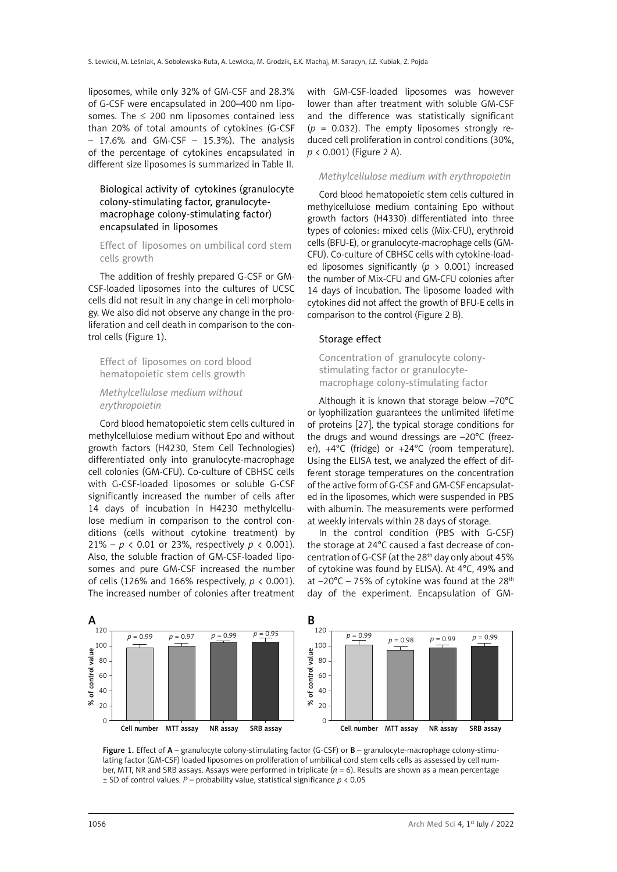liposomes, while only 32% of GM-CSF and 28.3% of G-CSF were encapsulated in 200–400 nm liposomes. The  $\leq$  200 nm liposomes contained less than 20% of total amounts of cytokines (G-CSF  $-$  17.6% and GM-CSF  $-$  15.3%). The analysis of the percentage of cytokines encapsulated in different size liposomes is summarized in Table II.

# Biological activity of cytokines (granulocyte colony-stimulating factor, granulocytemacrophage colony-stimulating factor) encapsulated in liposomes

## Effect of liposomes on umbilical cord stem cells growth

The addition of freshly prepared G-CSF or GM-CSF-loaded liposomes into the cultures of UCSC cells did not result in any change in cell morphology. We also did not observe any change in the proliferation and cell death in comparison to the control cells (Figure 1).

Effect of liposomes on cord blood hematopoietic stem cells growth

## *Methylcellulose medium without erythropoietin*

Cord blood hematopoietic stem cells cultured in methylcellulose medium without Epo and without growth factors (H4230, Stem Cell Technologies) differentiated only into granulocyte-macrophage cell colonies (GM-CFU). Co-culture of CBHSC cells with G-CSF-loaded liposomes or soluble G-CSF significantly increased the number of cells after 14 days of incubation in H4230 methylcellulose medium in comparison to the control conditions (cells without cytokine treatment) by 21% –  $p < 0.01$  or 23%, respectively  $p < 0.001$ ). Also, the soluble fraction of GM-CSF-loaded liposomes and pure GM-CSF increased the number of cells (126% and 166% respectively, *p* < 0.001). The increased number of colonies after treatment with GM-CSF-loaded liposomes was however lower than after treatment with soluble GM-CSF and the difference was statistically significant (*p* = 0.032). The empty liposomes strongly reduced cell proliferation in control conditions (30%, *p* < 0.001) (Figure 2 A).

## *Methylcellulose medium with erythropoietin*

Cord blood hematopoietic stem cells cultured in methylcellulose medium containing Epo without growth factors (H4330) differentiated into three types of colonies: mixed cells (Mix-CFU), erythroid cells (BFU-E), or granulocyte-macrophage cells (GM-CFU). Co-culture of CBHSC cells with cytokine-loaded liposomes significantly ( $p > 0.001$ ) increased the number of Mix-CFU and GM-CFU colonies after 14 days of incubation. The liposome loaded with cytokines did not affect the growth of BFU-E cells in comparison to the control (Figure 2 B).

#### Storage effect

Concentration of granulocyte colonystimulating factor or granulocytemacrophage colony-stimulating factor

Although it is known that storage below –70°C or lyophilization guarantees the unlimited lifetime of proteins [27], the typical storage conditions for the drugs and wound dressings are –20°C (freezer), +4°C (fridge) or +24°C (room temperature). Using the ELISA test, we analyzed the effect of different storage temperatures on the concentration of the active form of G-CSF and GM-CSF encapsulated in the liposomes, which were suspended in PBS with albumin. The measurements were performed at weekly intervals within 28 days of storage.

In the control condition (PBS with G-CSF) the storage at 24°C caused a fast decrease of concentration of G-CSF (at the 28<sup>th</sup> day only about 45% of cytokine was found by ELISA). At 4°C, 49% and at  $-20^{\circ}$ C – 75% of cytokine was found at the 28<sup>th</sup> day of the experiment. Encapsulation of GM-



Figure 1. Effect of A – granulocyte colony-stimulating factor (G-CSF) or B – granulocyte-macrophage colony-stimulating factor (GM-CSF) loaded liposomes on proliferation of umbilical cord stem cells cells as assessed by cell number, MTT, NR and SRB assays. Assays were performed in triplicate (*n* = 6). Results are shown as a mean percentage ± SD of control values. *P* – probability value, statistical significance *p* < 0.05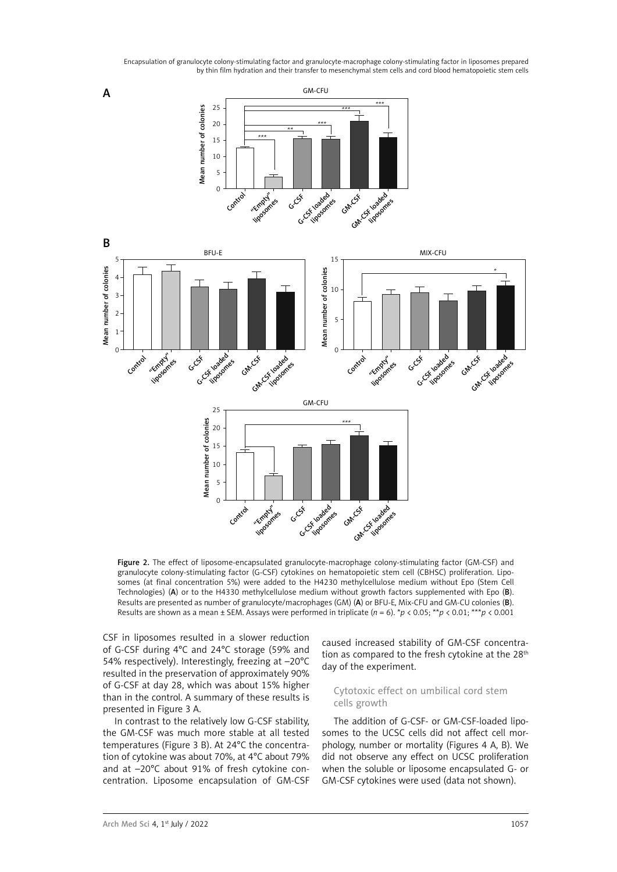

Figure 2. The effect of liposome-encapsulated granulocyte-macrophage colony-stimulating factor (GM-CSF) and granulocyte colony-stimulating factor (G-CSF) cytokines on hematopoietic stem cell (CBHSC) proliferation. Liposomes (at final concentration 5%) were added to the H4230 methylcellulose medium without Epo (Stem Cell Technologies) (A) or to the H4330 methylcellulose medium without growth factors supplemented with Epo (B). Results are presented as number of granulocyte/macrophages (GM) (A) or BFU-E, Mix-CFU and GM-CU colonies (B). Results are shown as a mean ± SEM. Assays were performed in triplicate (*n* = 6). \**p* < 0.05; \*\**p* < 0.01; \*\*\**p* < 0.001

CSF in liposomes resulted in a slower reduction of G-CSF during 4°C and 24°C storage (59% and 54% respectively). Interestingly, freezing at –20°C resulted in the preservation of approximately 90% of G-CSF at day 28, which was about 15% higher than in the control. A summary of these results is presented in Figure 3 A.

In contrast to the relatively low G-CSF stability, the GM-CSF was much more stable at all tested temperatures (Figure 3 B). At 24°C the concentration of cytokine was about 70%, at 4°C about 79% and at –20°C about 91% of fresh cytokine concentration. Liposome encapsulation of GM-CSF caused increased stability of GM-CSF concentration as compared to the fresh cytokine at the 28<sup>th</sup> day of the experiment.

## Cytotoxic effect on umbilical cord stem cells growth

The addition of G-CSF- or GM-CSF-loaded liposomes to the UCSC cells did not affect cell morphology, number or mortality (Figures 4 A, B). We did not observe any effect on UCSC proliferation when the soluble or liposome encapsulated G- or GM-CSF cytokines were used (data not shown).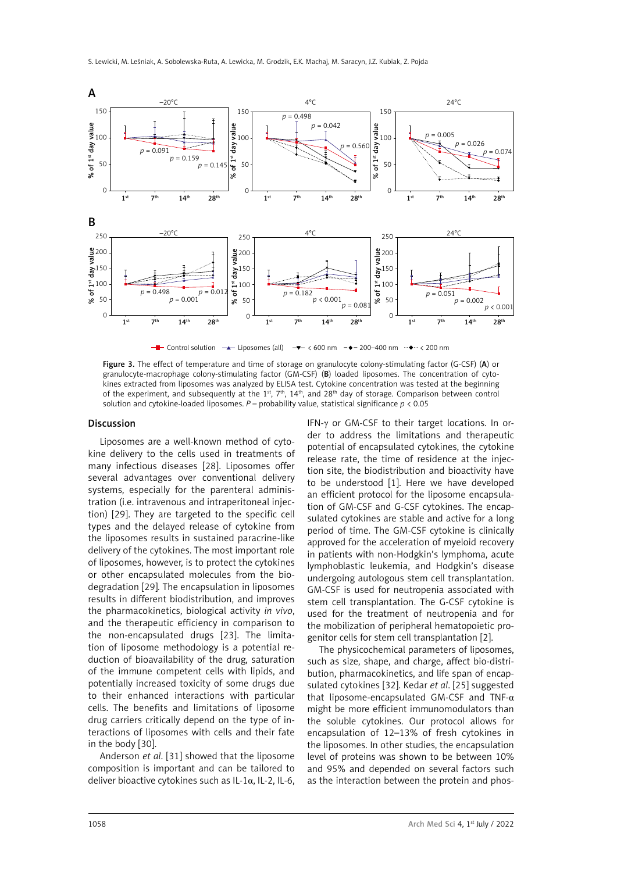

Control solution  $\rightarrow$  Liposomes (all)  $\rightarrow$  < 600 nm  $\rightarrow$  -200–400 nm  $\rightarrow$   $\rightarrow$  < 200 nm

Figure 3. The effect of temperature and time of storage on granulocyte colony-stimulating factor (G-CSF) (A) or granulocyte-macrophage colony-stimulating factor (GM-CSF) (B) loaded liposomes. The concentration of cytokines extracted from liposomes was analyzed by ELISA test. Cytokine concentration was tested at the beginning of the experiment, and subsequently at the 1<sup>st</sup>, 7<sup>th</sup>, 14<sup>th</sup>, and 28<sup>th</sup> day of storage. Comparison between control solution and cytokine-loaded liposomes. *P* – probability value, statistical significance *p* < 0.05

#### Discussion

Liposomes are a well-known method of cytokine delivery to the cells used in treatments of many infectious diseases [28]. Liposomes offer several advantages over conventional delivery systems, especially for the parenteral administration (i.e. intravenous and intraperitoneal injection) [29]. They are targeted to the specific cell types and the delayed release of cytokine from the liposomes results in sustained paracrine-like delivery of the cytokines. The most important role of liposomes, however, is to protect the cytokines or other encapsulated molecules from the biodegradation [29]*.* The encapsulation in liposomes results in different biodistribution, and improves the pharmacokinetics, biological activity *in vivo*, and the therapeutic efficiency in comparison to the non-encapsulated drugs [23]. The limitation of liposome methodology is a potential reduction of bioavailability of the drug, saturation of the immune competent cells with lipids, and potentially increased toxicity of some drugs due to their enhanced interactions with particular cells. The benefits and limitations of liposome drug carriers critically depend on the type of interactions of liposomes with cells and their fate in the body [30].

Anderson *et al*. [31] showed that the liposome composition is important and can be tailored to deliver bioactive cytokines such as IL-1 $\alpha$ , IL-2, IL-6,

IFN-γ or GM-CSF to their target locations. In order to address the limitations and therapeutic potential of encapsulated cytokines, the cytokine release rate, the time of residence at the injection site, the biodistribution and bioactivity have to be understood [1]. Here we have developed an efficient protocol for the liposome encapsulation of GM-CSF and G-CSF cytokines. The encapsulated cytokines are stable and active for a long period of time. The GM-CSF cytokine is clinically approved for the acceleration of myeloid recovery in patients with non-Hodgkin's lymphoma, acute lymphoblastic leukemia, and Hodgkin's disease undergoing autologous stem cell transplantation. GM-CSF is used for neutropenia associated with stem cell transplantation. The G-CSF cytokine is used for the treatment of neutropenia and for the mobilization of peripheral hematopoietic progenitor cells for stem cell transplantation [2].

The physicochemical parameters of liposomes, such as size, shape, and charge, affect bio-distribution, pharmacokinetics, and life span of encapsulated cytokines [32]. Kedar *et al*. [25] suggested that liposome-encapsulated GM-CSF and TNF- $\alpha$ might be more efficient immunomodulators than the soluble cytokines. Our protocol allows for encapsulation of 12–13% of fresh cytokines in the liposomes. In other studies, the encapsulation level of proteins was shown to be between 10% and 95% and depended on several factors such as the interaction between the protein and phos-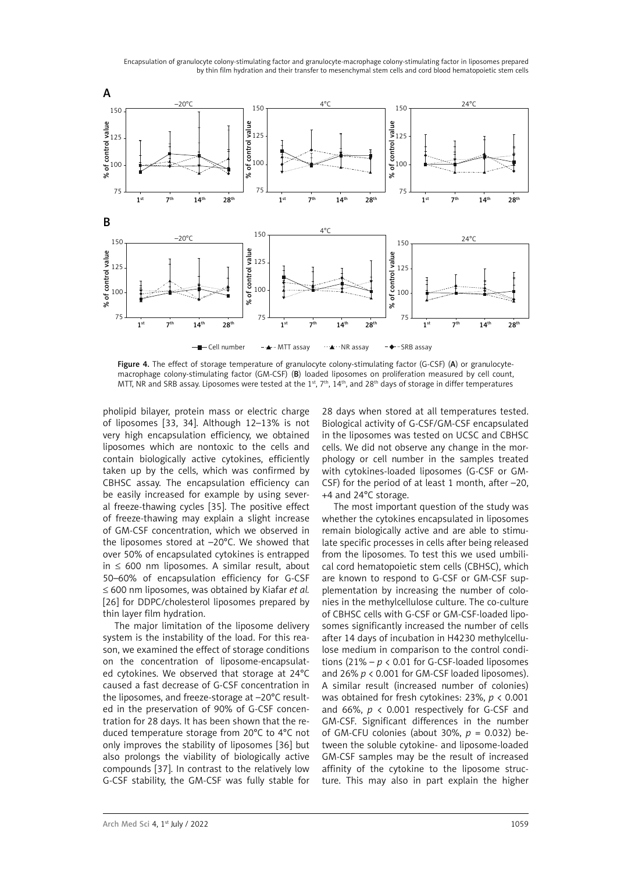

Figure 4. The effect of storage temperature of granulocyte colony-stimulating factor (G-CSF) (A) or granulocytemacrophage colony-stimulating factor (GM-CSF) (B) loaded liposomes on proliferation measured by cell count, MTT. NR and SRB assay. Liposomes were tested at the 1st,  $7<sup>th</sup>$ ,  $14<sup>th</sup>$ , and 28<sup>th</sup> days of storage in differ temperatures

pholipid bilayer, protein mass or electric charge of liposomes [33, 34]. Although 12-13% is not very high encapsulation efficiency, we obtained liposomes which are nontoxic to the cells and contain biologically active cytokines, efficiently taken up by the cells, which was confirmed by CBHSC assay. The encapsulation efficiency can be easily increased for example by using several freeze-thawing cycles [35]. The positive effect of freeze-thawing may explain a slight increase of GM-CSF concentration, which we observed in the liposomes stored at –20°C. We showed that over 50% of encapsulated cytokines is entrapped in ≤ 600 nm liposomes. A similar result, about 50–60% of encapsulation efficiency for G-CSF ≤ 600 nm liposomes, was obtained by Kiafar *et al.* [26] for DDPC/cholesterol liposomes prepared by thin layer film hydration.

The major limitation of the liposome delivery system is the instability of the load. For this reason, we examined the effect of storage conditions on the concentration of liposome-encapsulated cytokines. We observed that storage at 24°C caused a fast decrease of G-CSF concentration in the liposomes, and freeze-storage at –20°C resulted in the preservation of 90% of G-CSF concentration for 28 days. It has been shown that the reduced temperature storage from 20°C to 4°C not only improves the stability of liposomes [36] but also prolongs the viability of biologically active compounds [37]. In contrast to the relatively low G-CSF stability, the GM-CSF was fully stable for

28 days when stored at all temperatures tested. Biological activity of G-CSF/GM-CSF encapsulated in the liposomes was tested on UCSC and CBHSC cells. We did not observe any change in the morphology or cell number in the samples treated with cytokines-loaded liposomes (G-CSF or GM-CSF) for the period of at least 1 month, after –20, +4 and 24°C storage.

The most important question of the study was whether the cytokines encapsulated in liposomes remain biologically active and are able to stimulate specific processes in cells after being released from the liposomes. To test this we used umbilical cord hematopoietic stem cells (CBHSC), which are known to respond to G-CSF or GM-CSF supplementation by increasing the number of colonies in the methylcellulose culture. The co-culture of CBHSC cells with G-CSF or GM-CSF-loaded liposomes significantly increased the number of cells after 14 days of incubation in H4230 methylcellulose medium in comparison to the control conditions  $(21\% - p < 0.01$  for G-CSF-loaded liposomes and 26% *p* < 0.001 for GM-CSF loaded liposomes). A similar result (increased number of colonies) was obtained for fresh cytokines: 23%, *p* < 0.001 and 66%,  $p \lt 0.001$  respectively for G-CSF and GM-CSF. Significant differences in the number of GM-CFU colonies (about 30%, *p* = 0.032) between the soluble cytokine- and liposome-loaded GM-CSF samples may be the result of increased affinity of the cytokine to the liposome structure. This may also in part explain the higher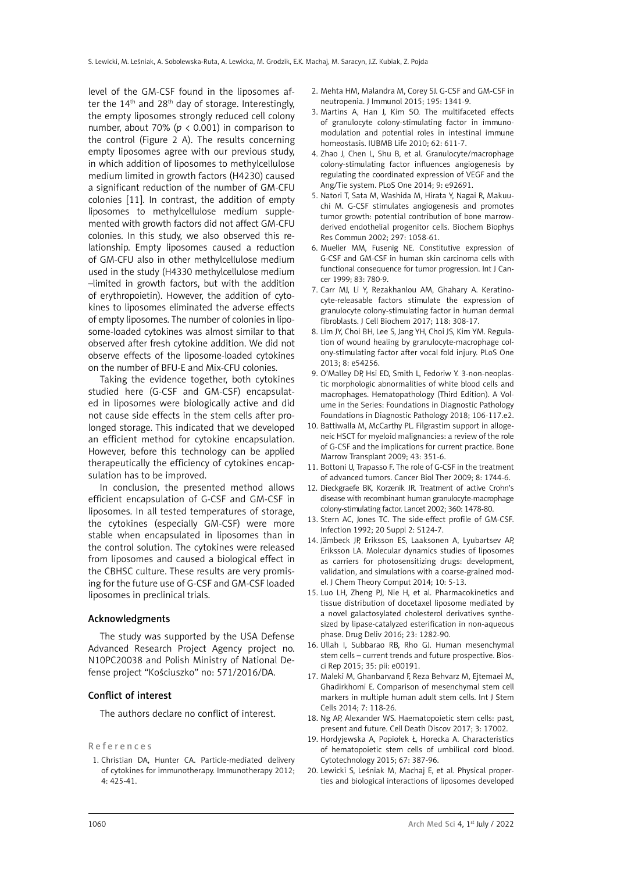level of the GM-CSF found in the liposomes after the  $14<sup>th</sup>$  and  $28<sup>th</sup>$  day of storage. Interestingly, the empty liposomes strongly reduced cell colony number, about 70% ( $p < 0.001$ ) in comparison to the control (Figure 2 A). The results concerning empty liposomes agree with our previous study, in which addition of liposomes to methylcellulose medium limited in growth factors (H4230) caused a significant reduction of the number of GM-CFU colonies [11]. In contrast, the addition of empty liposomes to methylcellulose medium supplemented with growth factors did not affect GM-CFU colonies. In this study, we also observed this relationship. Empty liposomes caused a reduction of GM-CFU also in other methylcellulose medium used in the study (H4330 methylcellulose medium –limited in growth factors, but with the addition of erythropoietin). However, the addition of cytokines to liposomes eliminated the adverse effects of empty liposomes. The number of colonies in liposome-loaded cytokines was almost similar to that observed after fresh cytokine addition. We did not observe effects of the liposome-loaded cytokines on the number of BFU-E and Mix-CFU colonies.

Taking the evidence together, both cytokines studied here (G-CSF and GM-CSF) encapsulated in liposomes were biologically active and did not cause side effects in the stem cells after prolonged storage. This indicated that we developed an efficient method for cytokine encapsulation. However, before this technology can be applied therapeutically the efficiency of cytokines encapsulation has to be improved.

In conclusion, the presented method allows efficient encapsulation of G-CSF and GM-CSF in liposomes. In all tested temperatures of storage, the cytokines (especially GM-CSF) were more stable when encapsulated in liposomes than in the control solution. The cytokines were released from liposomes and caused a biological effect in the CBHSC culture. These results are very promising for the future use of G-CSF and GM-CSF loaded liposomes in preclinical trials.

#### Acknowledgments

The study was supported by the USA Defense Advanced Research Project Agency project no. N10PC20038 and Polish Ministry of National Defense project "Kościuszko" no: 571/2016/DA.

#### Conflict of interest

The authors declare no conflict of interest.

#### References

1. Christian DA, Hunter CA. Particle-mediated delivery of cytokines for immunotherapy. Immunotherapy 2012; 4: 425-41.

- 2. Mehta HM, Malandra M, Corey SJ. G-CSF and GM-CSF in neutropenia. J Immunol 2015; 195: 1341-9.
- 3. Martins A, Han J, Kim SO. The multifaceted effects of granulocyte colony-stimulating factor in immunomodulation and potential roles in intestinal immune homeostasis. IUBMB Life 2010; 62: 611-7.
- 4. Zhao J, Chen L, Shu B, et al. Granulocyte/macrophage colony-stimulating factor influences angiogenesis by regulating the coordinated expression of VEGF and the Ang/Tie system. PLoS One 2014; 9: e92691.
- 5. Natori T, Sata M, Washida M, Hirata Y, Nagai R, Makuuchi M. G-CSF stimulates angiogenesis and promotes tumor growth: potential contribution of bone marrowderived endothelial progenitor cells. Biochem Biophys Res Commun 2002; 297: 1058-61.
- 6. Mueller MM, Fusenig NE. Constitutive expression of G-CSF and GM-CSF in human skin carcinoma cells with functional consequence for tumor progression. Int J Cancer 1999; 83: 780-9.
- 7. Carr MJ, Li Y, Rezakhanlou AM, Ghahary A. Keratinocyte-releasable factors stimulate the expression of granulocyte colony-stimulating factor in human dermal fibroblasts. J Cell Biochem 2017; 118: 308-17.
- 8. Lim JY, Choi BH, Lee S, Jang YH, Choi JS, Kim YM. Regulation of wound healing by granulocyte-macrophage colony-stimulating factor after vocal fold injury. PLoS One 2013; 8: e54256.
- 9. O'Malley DP, Hsi ED, Smith L, Fedoriw Y. 3-non-neoplastic morphologic abnormalities of white blood cells and macrophages. Hematopathology (Third Edition). A Volume in the Series: Foundations in Diagnostic Pathology Foundations in Diagnostic Pathology 2018; 106-117.e2.
- 10. Battiwalla M, McCarthy PL. Filgrastim support in allogeneic HSCT for myeloid malignancies: a review of the role of G-CSF and the implications for current practice. Bone Marrow Transplant 2009; 43: 351-6.
- 11. Bottoni U, Trapasso F. The role of G-CSF in the treatment of advanced tumors. Cancer Biol Ther 2009; 8: 1744-6.
- 12. Dieckgraefe BK, Korzenik JR. Treatment of active Crohn's disease with recombinant human granulocyte-macrophage colony-stimulating factor. Lancet 2002; 360: 1478-80.
- 13. Stern AC, Jones TC. The side-effect profile of GM-CSF. Infection 1992; 20 Suppl 2: S124-7.
- 14. Jämbeck JP, Eriksson ES, Laaksonen A, Lyubartsev AP, Eriksson LA. Molecular dynamics studies of liposomes as carriers for photosensitizing drugs: development, validation, and simulations with a coarse-grained model. J Chem Theory Comput 2014; 10: 5-13.
- 15. Luo LH, Zheng PJ, Nie H, et al. Pharmacokinetics and tissue distribution of docetaxel liposome mediated by a novel galactosylated cholesterol derivatives synthesized by lipase-catalyzed esterification in non-aqueous phase. Drug Deliv 2016; 23: 1282-90.
- 16. Ullah I, Subbarao RB, Rho GJ. Human mesenchymal stem cells – current trends and future prospective. Biosci Rep 2015; 35: pii: e00191.
- 17. Maleki M, Ghanbarvand F, Reza Behvarz M, Ejtemaei M, Ghadirkhomi E. Comparison of mesenchymal stem cell markers in multiple human adult stem cells. Int J Stem Cells 2014; 7: 118-26.
- 18. Ng AP, Alexander WS. Haematopoietic stem cells: past, present and future. Cell Death Discov 2017; 3: 17002.
- 19. Hordyjewska A, Popiołek Ł, Horecka A. Characteristics of hematopoietic stem cells of umbilical cord blood. Cytotechnology 2015; 67: 387-96.
- 20. Lewicki S, Leśniak M, Machaj E, et al. Physical properties and biological interactions of liposomes developed